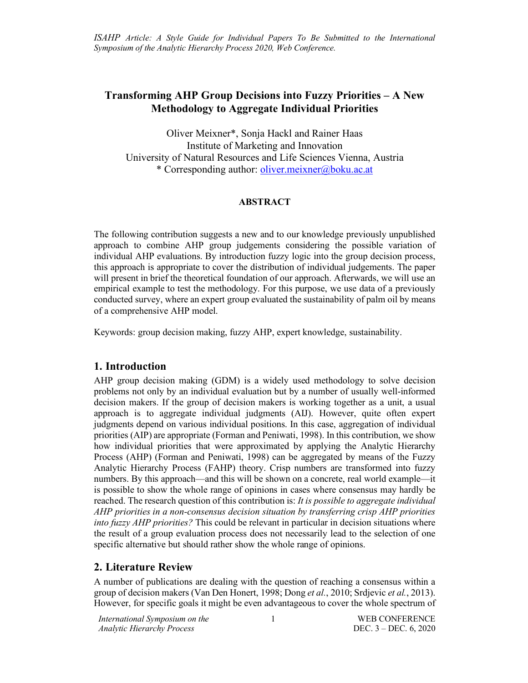# **Transforming AHP Group Decisions into Fuzzy Priorities – A New Methodology to Aggregate Individual Priorities**

Oliver Meixner\*, Sonja Hackl and Rainer Haas Institute of Marketing and Innovation University of Natural Resources and Life Sciences Vienna, Austria \* Corresponding author: oliver.meixner@boku.ac.at

#### **ABSTRACT**

The following contribution suggests a new and to our knowledge previously unpublished approach to combine AHP group judgements considering the possible variation of individual AHP evaluations. By introduction fuzzy logic into the group decision process, this approach is appropriate to cover the distribution of individual judgements. The paper will present in brief the theoretical foundation of our approach. Afterwards, we will use an empirical example to test the methodology. For this purpose, we use data of a previously conducted survey, where an expert group evaluated the sustainability of palm oil by means of a comprehensive AHP model.

Keywords: group decision making, fuzzy AHP, expert knowledge, sustainability.

#### **1. Introduction**

AHP group decision making (GDM) is a widely used methodology to solve decision problems not only by an individual evaluation but by a number of usually well-informed decision makers. If the group of decision makers is working together as a unit, a usual approach is to aggregate individual judgments (AIJ). However, quite often expert judgments depend on various individual positions. In this case, aggregation of individual priorities (AIP) are appropriate (Forman and Peniwati, 1998). In this contribution, we show how individual priorities that were approximated by applying the Analytic Hierarchy Process (AHP) (Forman and Peniwati, 1998) can be aggregated by means of the Fuzzy Analytic Hierarchy Process (FAHP) theory. Crisp numbers are transformed into fuzzy numbers. By this approach—and this will be shown on a concrete, real world example—it is possible to show the whole range of opinions in cases where consensus may hardly be reached. The research question of this contribution is: *It is possible to aggregate individual AHP priorities in a non-consensus decision situation by transferring crisp AHP priorities into fuzzy AHP priorities?* This could be relevant in particular in decision situations where the result of a group evaluation process does not necessarily lead to the selection of one specific alternative but should rather show the whole range of opinions.

#### **2. Literature Review**

A number of publications are dealing with the question of reaching a consensus within a group of decision makers (Van Den Honert, 1998; Dong *et al.*, 2010; Srdjevic *et al.*, 2013). However, for specific goals it might be even advantageous to cover the whole spectrum of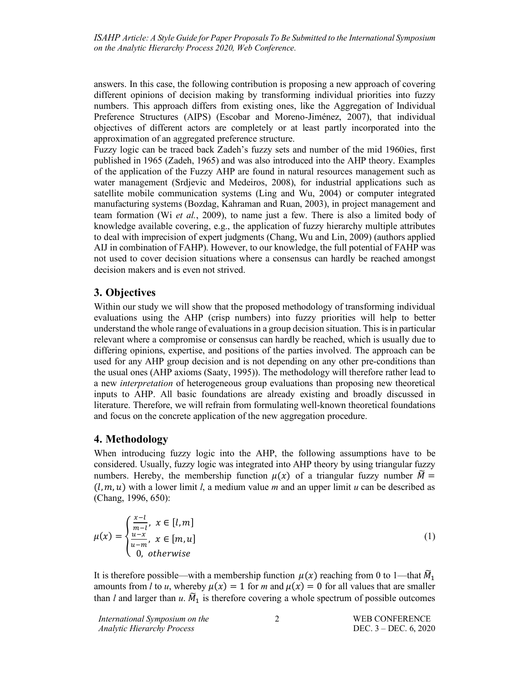answers. In this case, the following contribution is proposing a new approach of covering different opinions of decision making by transforming individual priorities into fuzzy numbers. This approach differs from existing ones, like the Aggregation of Individual Preference Structures (AIPS) (Escobar and Moreno-Jiménez, 2007), that individual objectives of different actors are completely or at least partly incorporated into the approximation of an aggregated preference structure.

Fuzzy logic can be traced back Zadeh's fuzzy sets and number of the mid 1960ies, first published in 1965 (Zadeh, 1965) and was also introduced into the AHP theory. Examples of the application of the Fuzzy AHP are found in natural resources management such as water management (Srdjevic and Medeiros, 2008), for industrial applications such as satellite mobile communication systems (Ling and Wu, 2004) or computer integrated manufacturing systems (Bozdag, Kahraman and Ruan, 2003), in project management and team formation (Wi *et al.*, 2009), to name just a few. There is also a limited body of knowledge available covering, e.g., the application of fuzzy hierarchy multiple attributes to deal with imprecision of expert judgments (Chang, Wu and Lin, 2009) (authors applied AIJ in combination of FAHP). However, to our knowledge, the full potential of FAHP was not used to cover decision situations where a consensus can hardly be reached amongst decision makers and is even not strived.

## **3. Objectives**

Within our study we will show that the proposed methodology of transforming individual evaluations using the AHP (crisp numbers) into fuzzy priorities will help to better understand the whole range of evaluations in a group decision situation. This is in particular relevant where a compromise or consensus can hardly be reached, which is usually due to differing opinions, expertise, and positions of the parties involved. The approach can be used for any AHP group decision and is not depending on any other pre-conditions than the usual ones (AHP axioms (Saaty, 1995)). The methodology will therefore rather lead to a new *interpretation* of heterogeneous group evaluations than proposing new theoretical inputs to AHP. All basic foundations are already existing and broadly discussed in literature. Therefore, we will refrain from formulating well-known theoretical foundations and focus on the concrete application of the new aggregation procedure.

#### **4. Methodology**

When introducing fuzzy logic into the AHP, the following assumptions have to be considered. Usually, fuzzy logic was integrated into AHP theory by using triangular fuzzy numbers. Hereby, the membership function  $\mu(x)$  of a triangular fuzzy number  $\widetilde{M} =$  $(l, m, u)$  with a lower limit *l*, a medium value *m* and an upper limit *u* can be described as (Chang, 1996, 650):

$$
\mu(x) = \begin{cases} \frac{x-l}{m-l}, & x \in [l,m] \\ \frac{u-x}{u-m}, & x \in [m,u] \\ 0, & otherwise \end{cases}
$$
\n(1)

It is therefore possible—with a membership function  $\mu(x)$  reaching from 0 to 1—that  $\widetilde{M}_1$ amounts from *l* to *u*, whereby  $\mu(x) = 1$  for *m* and  $\mu(x) = 0$  for all values that are smaller than *l* and larger than *u*.  $\widetilde{M}_1$  is therefore covering a whole spectrum of possible outcomes

*International Symposium on the Analytic Hierarchy Process*

2 WEB CONFERENCE DEC. 3 – DEC. 6, 2020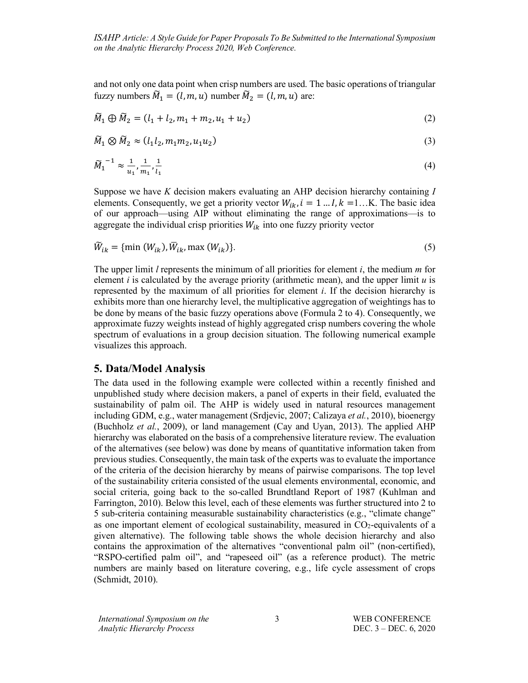and not only one data point when crisp numbers are used. The basic operations of triangular fuzzy numbers  $\widetilde{M}_1 = (l, m, u)$  number  $\widetilde{M}_2 = (l, m, u)$  are:

$$
\widetilde{M}_1 \oplus \widetilde{M}_2 = (l_1 + l_2, m_1 + m_2, u_1 + u_2) \tag{2}
$$

$$
\widetilde{M}_1 \otimes \widetilde{M}_2 \approx (l_1 l_2, m_1 m_2, u_1 u_2) \tag{3}
$$

$$
\widetilde{M}_1^{-1} \approx \frac{1}{u_1}, \frac{1}{m_1}, \frac{1}{l_1} \tag{4}
$$

Suppose we have *K* decision makers evaluating an AHP decision hierarchy containing *I* elements. Consequently, we get a priority vector  $W_{ik}$ ,  $i = 1...I$ ,  $k = 1...K$ . The basic idea of our approach—using AIP without eliminating the range of approximations—is to aggregate the individual crisp priorities  $W_{ik}$  into one fuzzy priority vector

$$
\widetilde{W}_{ik} = \{\min(W_{ik}), \overline{W}_{ik}, \max(W_{ik})\}.
$$
\n(5)

The upper limit *l* represents the minimum of all priorities for element *i*, the medium *m* for element *i* is calculated by the average priority (arithmetic mean), and the upper limit *u* is represented by the maximum of all priorities for element *i*. If the decision hierarchy is exhibits more than one hierarchy level, the multiplicative aggregation of weightings has to be done by means of the basic fuzzy operations above (Formula 2 to 4). Consequently, we approximate fuzzy weights instead of highly aggregated crisp numbers covering the whole spectrum of evaluations in a group decision situation. The following numerical example visualizes this approach.

#### **5. Data/Model Analysis**

The data used in the following example were collected within a recently finished and unpublished study where decision makers, a panel of experts in their field, evaluated the sustainability of palm oil. The AHP is widely used in natural resources management including GDM, e.g., water management (Srdjevic, 2007; Calizaya *et al.*, 2010), bioenergy (Buchholz *et al.*, 2009), or land management (Cay and Uyan, 2013). The applied AHP hierarchy was elaborated on the basis of a comprehensive literature review. The evaluation of the alternatives (see below) was done by means of quantitative information taken from previous studies. Consequently, the main task of the experts was to evaluate the importance of the criteria of the decision hierarchy by means of pairwise comparisons. The top level of the sustainability criteria consisted of the usual elements environmental, economic, and social criteria, going back to the so-called Brundtland Report of 1987 (Kuhlman and Farrington, 2010). Below this level, each of these elements was further structured into 2 to 5 sub-criteria containing measurable sustainability characteristics (e.g., "climate change" as one important element of ecological sustainability, measured in  $CO<sub>2</sub>$ -equivalents of a given alternative). The following table shows the whole decision hierarchy and also contains the approximation of the alternatives "conventional palm oil" (non-certified), "RSPO-certified palm oil", and "rapeseed oil" (as a reference product). The metric numbers are mainly based on literature covering, e.g., life cycle assessment of crops (Schmidt, 2010).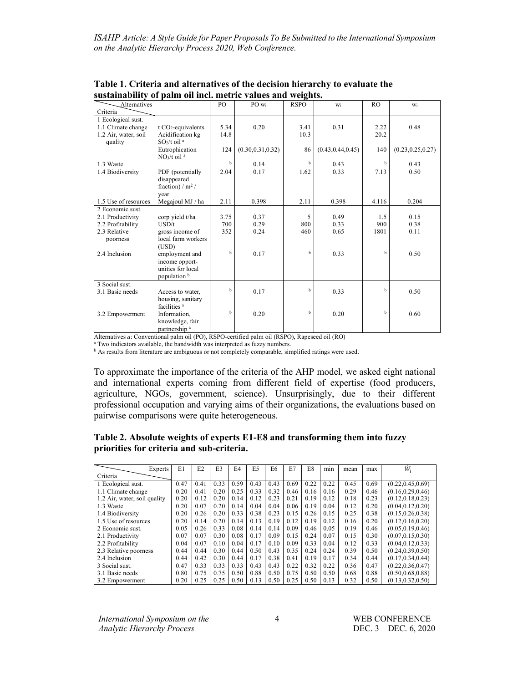| <b>Alternatives</b>  |                                     | P <sub>O</sub> | PO wi              | <b>RSPO</b> | Wi                 | RO    | Wi                 |
|----------------------|-------------------------------------|----------------|--------------------|-------------|--------------------|-------|--------------------|
| Criteria             |                                     |                |                    |             |                    |       |                    |
| 1 Ecological sust.   |                                     |                |                    |             |                    |       |                    |
| 1.1 Climate change   | $t CO2$ -equivalents                | 5.34           | 0.20               | 3.41        | 0.31               | 2.22  | 0.48               |
| 1.2 Air, water, soil | Acidification kg                    | 14.8           |                    | 10.3        |                    | 20.2  |                    |
| quality              | $SO2/t$ oil <sup>a</sup>            |                |                    |             |                    |       |                    |
|                      | Eutrophication                      | 124            | (0.30, 0.31, 0.32) | 86          | (0.43, 0.44, 0.45) | 140   | (0.23, 0.25, 0.27) |
|                      | NO <sub>3</sub> /t oil <sup>a</sup> |                |                    |             |                    |       |                    |
| 1.3 Waste            |                                     | $\mathbf b$    | 0.14               | $\mathbf b$ | 0.43               | b     | 0.43               |
| 1.4 Biodiversity     | PDF (potentially                    | 2.04           | 0.17               | 1.62        | 0.33               | 7.13  | 0.50               |
|                      | disappeared                         |                |                    |             |                    |       |                    |
|                      | fraction) / $m^2$ /                 |                |                    |             |                    |       |                    |
|                      | vear                                |                |                    |             |                    |       |                    |
| 1.5 Use of resources | Megajoul MJ / ha                    | 2.11           | 0.398              | 2.11        | 0.398              | 4.116 | 0.204              |
| 2 Economic sust      |                                     |                |                    |             |                    |       |                    |
| 2.1 Productivity     | corp yield t/ha                     | 3.75           | 0.37               | 5           | 0.49               | 1.5   | 0.15               |
| 2.2 Profitability    | USD/t                               | 700            | 0.29               | 800         | 0.33               | 900   | 0.38               |
| 2.3 Relative         | gross income of                     | 352            | 0.24               | 460         | 0.65               | 1801  | 0.11               |
| poorness             | local farm workers                  |                |                    |             |                    |       |                    |
|                      | (USD)                               |                |                    |             |                    |       |                    |
| 2.4 Inclusion        | employment and                      | $\mathbf{h}$   | 0.17               | $\mathbf b$ | 0.33               | h     | 0.50               |
|                      | income opport-                      |                |                    |             |                    |       |                    |
|                      | unities for local                   |                |                    |             |                    |       |                    |
|                      | population <sup>b</sup>             |                |                    |             |                    |       |                    |
| 3 Social sust.       |                                     |                |                    |             |                    |       |                    |
| 3.1 Basic needs      | Access to water,                    | $\mathbf{h}$   | 0.17               | $\mathbf b$ | 0.33               | h     | 0.50               |
|                      | housing, sanitary                   |                |                    |             |                    |       |                    |
|                      | facilities <sup>a</sup>             |                |                    |             |                    |       |                    |
| 3.2 Empowerment      | Information,                        | $\mathbf b$    | 0.20               | b           | 0.20               | b     | 0.60               |
|                      | knowledge, fair                     |                |                    |             |                    |       |                    |
|                      | partnership <sup>a</sup>            |                |                    |             |                    |       |                    |

**Table 1. Criteria and alternatives of the decision hierarchy to evaluate the sustainability of palm oil incl. metric values and weights.**

Alternatives *a*: Conventional palm oil (PO), RSPO-certified palm oil (RSPO), Rapeseed oil (RO)

<sup>a</sup> Two indicators available, the bandwidth was interpreted as fuzzy numbers.

**b** As results from literature are ambiguous or not completely comparable, simplified ratings were used.

To approximate the importance of the criteria of the AHP model, we asked eight national and international experts coming from different field of expertise (food producers, agriculture, NGOs, government, science). Unsurprisingly, due to their different professional occupation and varying aims of their organizations, the evaluations based on pairwise comparisons were quite heterogeneous.

#### **Table 2. Absolute weights of experts E1-E8 and transforming them into fuzzy priorities for criteria and sub-criteria.**

| Experts                      | E1   | E2   | E <sub>3</sub> | F4   | E <sub>5</sub> | E6   | E7   | E8   | min  | mean | max  | $\widetilde{W}_i$  |
|------------------------------|------|------|----------------|------|----------------|------|------|------|------|------|------|--------------------|
| Criteria                     |      |      |                |      |                |      |      |      |      |      |      |                    |
| 1 Ecological sust.           | 0.47 | 0.41 | 0.33           | 0.59 | 0.43           | 0.43 | 0.69 | 0.22 | 0.22 | 0.45 | 0.69 | (0.22, 0.45, 0.69) |
| 1.1 Climate change           | 0.20 | 0.41 | 0.20           | 0.25 | 0.33           | 0.32 | 0.46 | 0.16 | 0.16 | 0.29 | 0.46 | (0.16, 0.29, 0.46) |
| 1.2 Air, water, soil quality | 0.20 | 0.12 | 0.20           | 0.14 | 0.12           | 0.23 | 0.21 | 0.19 | 0.12 | 0.18 | 0.23 | (0.12, 0.18, 0.23) |
| 1.3 Waste                    | 0.20 | 0.07 | 0.20           | 0.14 | 0.04           | 0.04 | 0.06 | 0.19 | 0.04 | 0.12 | 0.20 | (0.04, 0.12, 0.20) |
| 1.4 Biodiversity             | 0.20 | 0.26 | 0.20           | 0.33 | 0.38           | 0.23 | 0.15 | 0.26 | 0.15 | 0.25 | 0.38 | (0.15, 0.26, 0.38) |
| 1.5 Use of resources         | 0.20 | 0.14 | 0.20           | 0.14 | 0.13           | 0.19 | 0.12 | 0.19 | 0.12 | 0.16 | 0.20 | (0.12, 0.16, 0.20) |
| 2 Economic sust.             | 0.05 | 0.26 | 0.33           | 0.08 | 0.14           | 0.14 | 0.09 | 0.46 | 0.05 | 0.19 | 0.46 | (0.05, 0.19, 0.46) |
| 2.1 Productivity             | 0.07 | 0.07 | 0.30           | 0.08 | 0.17           | 0.09 | 0.15 | 0.24 | 0.07 | 0.15 | 0.30 | (0.07, 0.15, 0.30) |
| 2.2 Profitability            | 0.04 | 0.07 | 0.10           | 0.04 | 0.17           | 0.10 | 0.09 | 0.33 | 0.04 | 0.12 | 0.33 | (0.04, 0.12, 0.33) |
| 2.3 Relative poorness        | 0.44 | 0.44 | 0.30           | 0.44 | 0.50           | 0.43 | 0.35 | 0.24 | 0.24 | 0.39 | 0.50 | (0.24, 0.39, 0.50) |
| 2.4 Inclusion                | 0.44 | 0.42 | 0.30           | 0.44 | 0.17           | 0.38 | 0.41 | 0.19 | 0.17 | 0.34 | 0.44 | (0.17, 0.34, 0.44) |
| 3 Social sust.               | 0.47 | 0.33 | 0.33           | 0.33 | 0.43           | 0.43 | 0.22 | 0.32 | 0.22 | 0.36 | 0.47 | (0.22, 0.36, 0.47) |
| 3.1 Basic needs              | 0.80 | 0.75 | 0.75           | 0.50 | 0.88           | 0.50 | 0.75 | 0.50 | 0.50 | 0.68 | 0.88 | (0.50, 0.68, 0.88) |
| 3.2 Empowerment              | 0.20 | 0.25 | 0.25           | 0.50 | 0.13           | 0.50 | 0.25 | 0.50 | 0.13 | 0.32 | 0.50 | (0.13.0.32.0.50)   |

*International Symposium on the Analytic Hierarchy Process*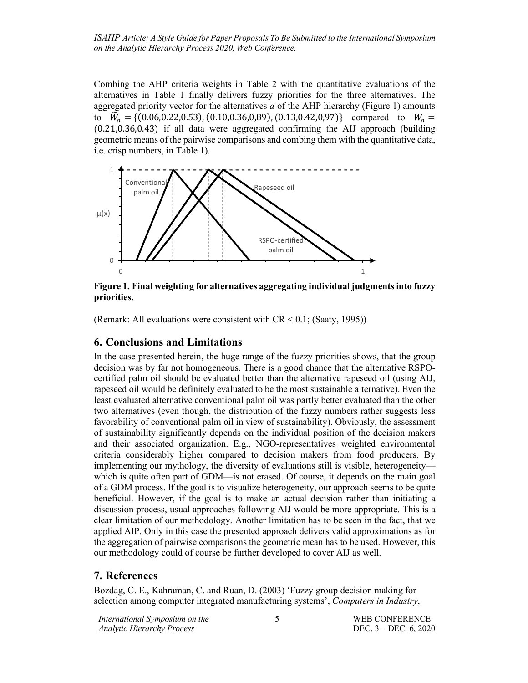Combing the AHP criteria weights in Table 2 with the quantitative evaluations of the alternatives in Table 1 finally delivers fuzzy priorities for the three alternatives. The aggregated priority vector for the alternatives *a* of the AHP hierarchy (Figure 1) amounts to  $\widetilde{W}_a = \{(0.06, 0.22, 0.53), (0.10, 0.36, 0.89), (0.13, 0.42, 0.97)\}\$  compared to  $W_a =$ (0.21,0.36,0.43) if all data were aggregated confirming the AIJ approach (building geometric means of the pairwise comparisons and combing them with the quantitative data, i.e. crisp numbers, in Table 1).



**Figure 1. Final weighting for alternatives aggregating individual judgments into fuzzy priorities.**

(Remark: All evaluations were consistent with  $CR < 0.1$ ; (Saaty, 1995))

# **6. Conclusions and Limitations**

In the case presented herein, the huge range of the fuzzy priorities shows, that the group decision was by far not homogeneous. There is a good chance that the alternative RSPOcertified palm oil should be evaluated better than the alternative rapeseed oil (using AIJ, rapeseed oil would be definitely evaluated to be the most sustainable alternative). Even the least evaluated alternative conventional palm oil was partly better evaluated than the other two alternatives (even though, the distribution of the fuzzy numbers rather suggests less favorability of conventional palm oil in view of sustainability). Obviously, the assessment of sustainability significantly depends on the individual position of the decision makers and their associated organization. E.g., NGO-representatives weighted environmental criteria considerably higher compared to decision makers from food producers. By implementing our mythology, the diversity of evaluations still is visible, heterogeneity which is quite often part of GDM—is not erased. Of course, it depends on the main goal of a GDM process. If the goal is to visualize heterogeneity, our approach seems to be quite beneficial. However, if the goal is to make an actual decision rather than initiating a discussion process, usual approaches following AIJ would be more appropriate. This is a clear limitation of our methodology. Another limitation has to be seen in the fact, that we applied AIP. Only in this case the presented approach delivers valid approximations as for the aggregation of pairwise comparisons the geometric mean has to be used. However, this our methodology could of course be further developed to cover AIJ as well.

### **7. References**

Bozdag, C. E., Kahraman, C. and Ruan, D. (2003) 'Fuzzy group decision making for selection among computer integrated manufacturing systems', *Computers in Industry*,

5 WEB CONFERENCE DEC. 3 – DEC. 6, 2020